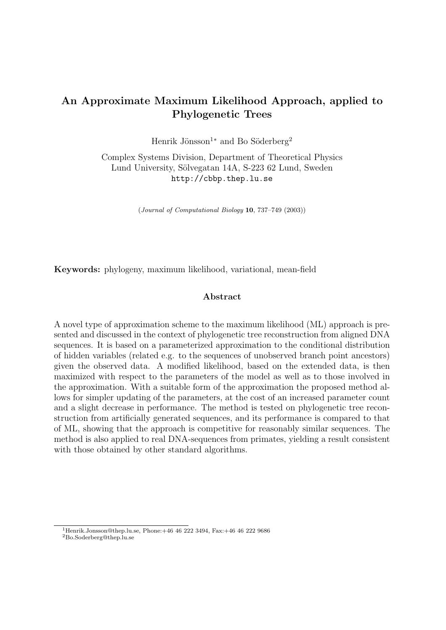# An Approximate Maximum Likelihood Approach, applied to Phylogenetic Trees

Henrik Jönsson<sup>1</sup><sup>\*</sup> and Bo Söderberg<sup>2</sup>

Complex Systems Division, Department of Theoretical Physics Lund University, Sölvegatan 14A, S-223 62 Lund, Sweden http://cbbp.thep.lu.se

(Journal of Computational Biology 10, 737–749 (2003))

Keywords: phylogeny, maximum likelihood, variational, mean-field

### Abstract

A novel type of approximation scheme to the maximum likelihood (ML) approach is presented and discussed in the context of phylogenetic tree reconstruction from aligned DNA sequences. It is based on a parameterized approximation to the conditional distribution of hidden variables (related e.g. to the sequences of unobserved branch point ancestors) given the observed data. A modified likelihood, based on the extended data, is then maximized with respect to the parameters of the model as well as to those involved in the approximation. With a suitable form of the approximation the proposed method allows for simpler updating of the parameters, at the cost of an increased parameter count and a slight decrease in performance. The method is tested on phylogenetic tree reconstruction from artificially generated sequences, and its performance is compared to that of ML, showing that the approach is competitive for reasonably similar sequences. The method is also applied to real DNA-sequences from primates, yielding a result consistent with those obtained by other standard algorithms.

 $1$ Henrik.Jonsson@thep.lu.se, Phone: $+46$  46 222 3494, Fax: $+46$  46 222 9686 <sup>2</sup>Bo.Soderberg@thep.lu.se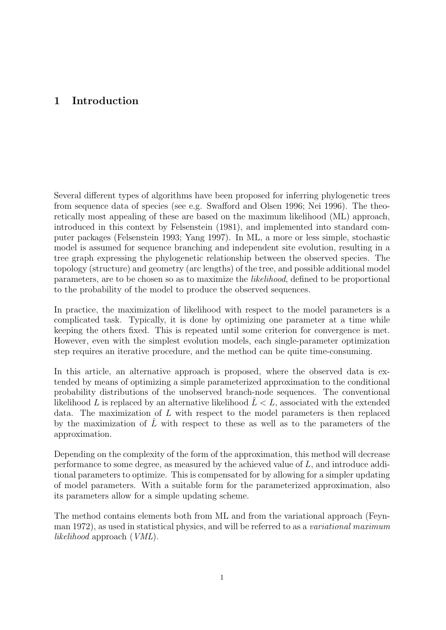## 1 Introduction

Several different types of algorithms have been proposed for inferring phylogenetic trees from sequence data of species (see e.g. Swafford and Olsen 1996; Nei 1996). The theoretically most appealing of these are based on the maximum likelihood (ML) approach, introduced in this context by Felsenstein (1981), and implemented into standard computer packages (Felsenstein 1993; Yang 1997). In ML, a more or less simple, stochastic model is assumed for sequence branching and independent site evolution, resulting in a tree graph expressing the phylogenetic relationship between the observed species. The topology (structure) and geometry (arc lengths) of the tree, and possible additional model parameters, are to be chosen so as to maximize the likelihood, defined to be proportional to the probability of the model to produce the observed sequences.

In practice, the maximization of likelihood with respect to the model parameters is a complicated task. Typically, it is done by optimizing one parameter at a time while keeping the others fixed. This is repeated until some criterion for convergence is met. However, even with the simplest evolution models, each single-parameter optimization step requires an iterative procedure, and the method can be quite time-consuming.

In this article, an alternative approach is proposed, where the observed data is extended by means of optimizing a simple parameterized approximation to the conditional probability distributions of the unobserved branch-node sequences. The conventional likelihood L is replaced by an alternative likelihood  $\hat{L} < L$ , associated with the extended data. The maximization of L with respect to the model parameters is then replaced by the maximization of  $\hat{L}$  with respect to these as well as to the parameters of the approximation.

Depending on the complexity of the form of the approximation, this method will decrease performance to some degree, as measured by the achieved value of L, and introduce additional parameters to optimize. This is compensated for by allowing for a simpler updating of model parameters. With a suitable form for the parameterized approximation, also its parameters allow for a simple updating scheme.

The method contains elements both from ML and from the variational approach (Feynman 1972), as used in statistical physics, and will be referred to as a variational maximum likelihood approach (VML).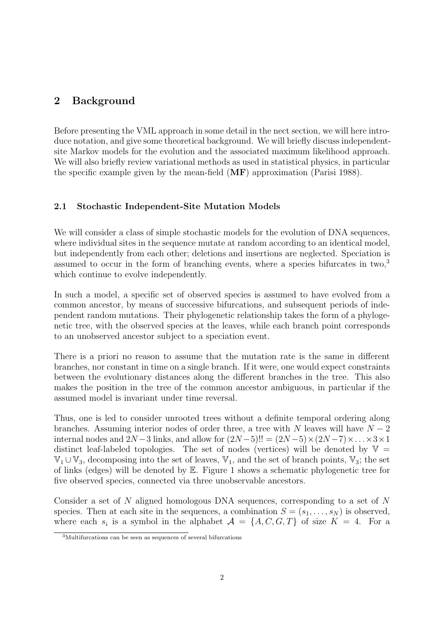## 2 Background

Before presenting the VML approach in some detail in the nect section, we will here introduce notation, and give some theoretical background. We will briefly discuss independentsite Markov models for the evolution and the associated maximum likelihood approach. We will also briefly review variational methods as used in statistical physics, in particular the specific example given by the mean-field  $(MF)$  approximation (Parisi 1988).

### 2.1 Stochastic Independent-Site Mutation Models

We will consider a class of simple stochastic models for the evolution of DNA sequences, where individual sites in the sequence mutate at random according to an identical model, but independently from each other; deletions and insertions are neglected. Speciation is assumed to occur in the form of branching events, where a species bifurcates in two.<sup>3</sup> which continue to evolve independently.

In such a model, a specific set of observed species is assumed to have evolved from a common ancestor, by means of successive bifurcations, and subsequent periods of independent random mutations. Their phylogenetic relationship takes the form of a phylogenetic tree, with the observed species at the leaves, while each branch point corresponds to an unobserved ancestor subject to a speciation event.

There is a priori no reason to assume that the mutation rate is the same in different branches, nor constant in time on a single branch. If it were, one would expect constraints between the evolutionary distances along the different branches in the tree. This also makes the position in the tree of the common ancestor ambiguous, in particular if the assumed model is invariant under time reversal.

Thus, one is led to consider unrooted trees without a definite temporal ordering along branches. Assuming interior nodes of order three, a tree with N leaves will have  $N-2$ internal nodes and  $2N-3$  links, and allow for  $(2N-5)!! = (2N-5) \times (2N-7) \times ... \times 3 \times 1$ distinct leaf-labeled topologies. The set of nodes (vertices) will be denoted by  $V =$  $\mathbb{V}_1 \cup \mathbb{V}_3$ , decomposing into the set of leaves,  $\mathbb{V}_1$ , and the set of branch points,  $\mathbb{V}_3$ ; the set of links (edges) will be denoted by E. Figure 1 shows a schematic phylogenetic tree for five observed species, connected via three unobservable ancestors.

Consider a set of N aligned homologous DNA sequences, corresponding to a set of N species. Then at each site in the sequences, a combination  $S = (s_1, \ldots, s_N)$  is observed, where each  $s_i$  is a symbol in the alphabet  $\mathcal{A} = \{A, C, G, T\}$  of size  $K = 4$ . For a

<sup>3</sup>Multifurcations can be seen as sequences of several bifurcations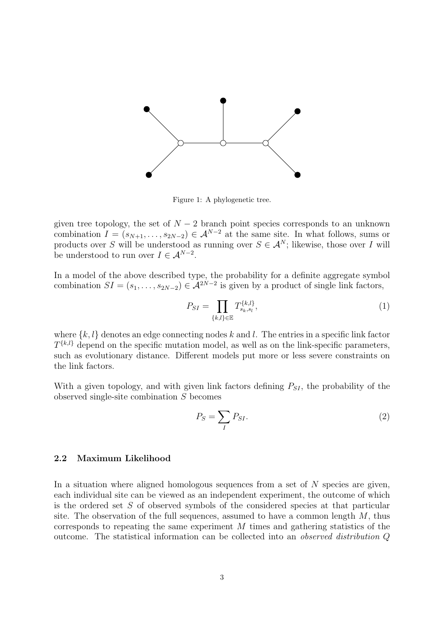

Figure 1: A phylogenetic tree.

given tree topology, the set of  $N-2$  branch point species corresponds to an unknown combination  $I = (s_{N+1}, \ldots, s_{2N-2}) \in \mathcal{A}^{N-2}$  at the same site. In what follows, sums or products over S will be understood as running over  $S \in \mathcal{A}^N$ ; likewise, those over I will be understood to run over  $I \in \mathcal{A}^{N-2}$ .

In a model of the above described type, the probability for a definite aggregate symbol combination  $SI = (s_1, \ldots, s_{2N-2}) \in \mathcal{A}^{2N-2}$  is given by a product of single link factors,

$$
P_{SI} = \prod_{\{k,l\} \in \mathbb{E}} T_{s_k, s_l}^{\{k,l\}},\tag{1}
$$

where  $\{k, l\}$  denotes an edge connecting nodes k and l. The entries in a specific link factor  $T^{\{k,l\}}$  depend on the specific mutation model, as well as on the link-specific parameters, such as evolutionary distance. Different models put more or less severe constraints on the link factors.

With a given topology, and with given link factors defining  $P_{SI}$ , the probability of the observed single-site combination S becomes

$$
P_S = \sum_I P_{SI}.\tag{2}
$$

### 2.2 Maximum Likelihood

In a situation where aligned homologous sequences from a set of  $N$  species are given, each individual site can be viewed as an independent experiment, the outcome of which is the ordered set S of observed symbols of the considered species at that particular site. The observation of the full sequences, assumed to have a common length  $M$ , thus corresponds to repeating the same experiment M times and gathering statistics of the outcome. The statistical information can be collected into an observed distribution Q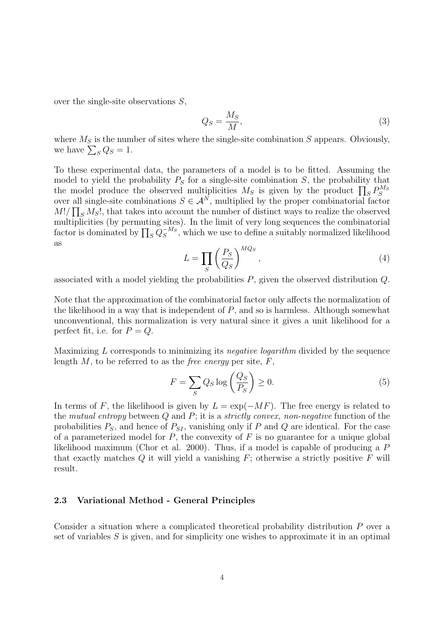over the single-site observations S,

$$
Q_S = \frac{M_S}{M},\tag{3}
$$

where  $M<sub>S</sub>$  is the number of sites where the single-site combination S appears. Obviously, where  $M_S$  is the num<br>we have  $\sum_S Q_S = 1$ .

To these experimental data, the parameters of a model is to be fitted. Assuming the model to yield the probability  $P_S$  for a single-site combination  $S$ , the probability that model to yield the probability  $P_S$  for a single-site combination  $S$ , the probability that the model produce the observed multiplicities  $M_S$  is given by the product  $\prod_S P_S^{M_S}$ over all single-site combinations  $S \in \mathcal{A}^N$ , multiplied by the proper combinatorial factor  $M!/\prod_S M_S!$ , that takes into account the number of distinct ways to realize the observed multiplicities (by permuting sites). In the limit of very long sequences the combinatorial factor is dominated by  $\prod_{S} Q_S^{-M_S}$ , which we use to define a suitably normalized likelihood as  $\overline{a}$ 

$$
L = \prod_{S} \left(\frac{P_S}{Q_S}\right)^{MQ_S},\tag{4}
$$

associated with a model yielding the probabilities  $P$ , given the observed distribution  $Q$ .

Note that the approximation of the combinatorial factor only affects the normalization of the likelihood in a way that is independent of  $P$ , and so is harmless. Although somewhat unconventional, this normalization is very natural since it gives a unit likelihood for a perfect fit, i.e. for  $P = Q$ .

Maximizing L corresponds to minimizing its *negative logarithm* divided by the sequence length  $M$ , to be referred to as the *free energy* per site,  $F$ ,

$$
F = \sum_{S} Q_S \log \left(\frac{Q_S}{P_S}\right) \ge 0.
$$
 (5)

In terms of F, the likelihood is given by  $L = \exp(-MF)$ . The free energy is related to the mutual entropy between  $Q$  and  $P$ ; it is a strictly convex, non-negative function of the probabilities  $P_S$ , and hence of  $P_{SI}$ , vanishing only if P and Q are identical. For the case of a parameterized model for  $P$ , the convexity of  $F$  is no guarantee for a unique global likelihood maximum (Chor et al. 2000). Thus, if a model is capable of producing a P that exactly matches  $Q$  it will yield a vanishing  $F$ ; otherwise a strictly positive  $F$  will result.

#### 2.3 Variational Method - General Principles

Consider a situation where a complicated theoretical probability distribution P over a set of variables  $S$  is given, and for simplicity one wishes to approximate it in an optimal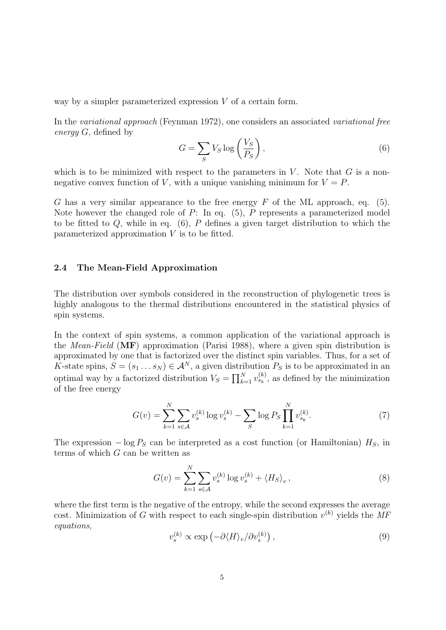way by a simpler parameterized expression V of a certain form.

In the variational approach (Feynman 1972), one considers an associated variational free energy G, defined by  $\mathbf{r}$ 

$$
G = \sum_{S} V_S \log\left(\frac{V_S}{P_S}\right),\tag{6}
$$

which is to be minimized with respect to the parameters in  $V$ . Note that  $G$  is a nonnegative convex function of V, with a unique vanishing minimum for  $V = P$ .

G has a very similar appearance to the free energy  $F$  of the ML approach, eq. (5). Note however the changed role of  $P$ : In eq.  $(5)$ ,  $P$  represents a parameterized model to be fitted to  $Q$ , while in eq.  $(6)$ ,  $P$  defines a given target distribution to which the parameterized approximation  $V$  is to be fitted.

#### 2.4 The Mean-Field Approximation

The distribution over symbols considered in the reconstruction of phylogenetic trees is highly analogous to the thermal distributions encountered in the statistical physics of spin systems.

In the context of spin systems, a common application of the variational approach is the *Mean-Field* ( $\overline{MF}$ ) approximation (Parisi 1988), where a given spin distribution is approximated by one that is factorized over the distinct spin variables. Thus, for a set of K-state spins,  $S = (s_1 \dots s_N) \in \mathcal{A}^N$ , a given distribution  $P_S$  is to be approximated in an  $N$ -state spins,  $D = (s_1 \dots s_N) \in \mathcal{A}$ , a given distribution  $V_S = \prod_{k=1}^N$  $_{k=1}^{N} v_{s_k}^{(k)}$ , as defined by the minimization of the free energy

$$
G(v) = \sum_{k=1}^{N} \sum_{s \in \mathcal{A}} v_s^{(k)} \log v_s^{(k)} - \sum_{S} \log P_S \prod_{k=1}^{N} v_{s_k}^{(k)}.
$$
 (7)

The expression  $-\log P_S$  can be interpreted as a cost function (or Hamiltonian)  $H_S$ , in terms of which  $G$  can be written as

 $\ddotsc$ 

$$
G(v) = \sum_{k=1}^{N} \sum_{s \in \mathcal{A}} v_s^{(k)} \log v_s^{(k)} + \langle H_S \rangle_v, \qquad (8)
$$

where the first term is the negative of the entropy, while the second expresses the average cost. Minimization of G with respect to each single-spin distribution  $v^{(k)}$  yields the MF equations, ¢

$$
v_s^{(k)} \propto \exp\left(-\partial \langle H \rangle_v / \partial v_s^{(k)}\right),\tag{9}
$$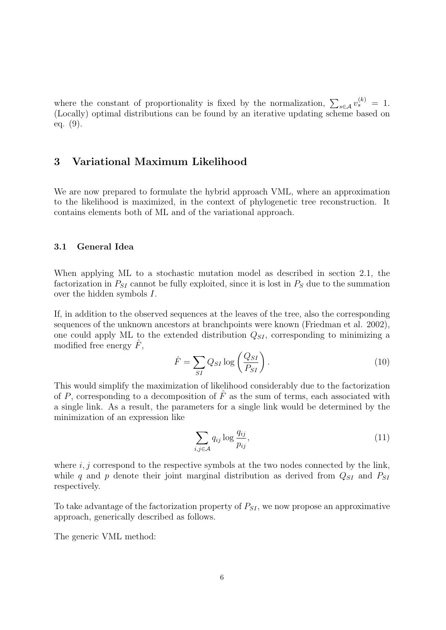where the constant of proportionality is fixed by the normalization,  $\sum_{s \in A} v_s^{(k)} = 1$ . (Locally) optimal distributions can be found by an iterative updating scheme based on eq. (9).

## 3 Variational Maximum Likelihood

We are now prepared to formulate the hybrid approach VML, where an approximation to the likelihood is maximized, in the context of phylogenetic tree reconstruction. It contains elements both of ML and of the variational approach.

#### 3.1 General Idea

When applying ML to a stochastic mutation model as described in section 2.1, the factorization in  $P_{SI}$  cannot be fully exploited, since it is lost in  $P_S$  due to the summation over the hidden symbols I.

If, in addition to the observed sequences at the leaves of the tree, also the corresponding sequences of the unknown ancestors at branchpoints were known (Friedman et al. 2002), one could apply ML to the extended distribution  $Q_{SI}$ , corresponding to minimizing a modified free energy  $F$ ,

$$
\hat{F} = \sum_{SI} Q_{SI} \log \left( \frac{Q_{SI}}{P_{SI}} \right). \tag{10}
$$

This would simplify the maximization of likelihood considerably due to the factorization of P, corresponding to a decomposition of  $\hat{F}$  as the sum of terms, each associated with a single link. As a result, the parameters for a single link would be determined by the minimization of an expression like

$$
\sum_{i,j\in\mathcal{A}} q_{ij} \log \frac{q_{ij}}{p_{ij}},\tag{11}
$$

where  $i, j$  correspond to the respective symbols at the two nodes connected by the link, while q and p denote their joint marginal distribution as derived from  $Q_{SI}$  and  $P_{SI}$ respectively.

To take advantage of the factorization property of  $P_{SI}$ , we now propose an approximative approach, generically described as follows.

The generic VML method: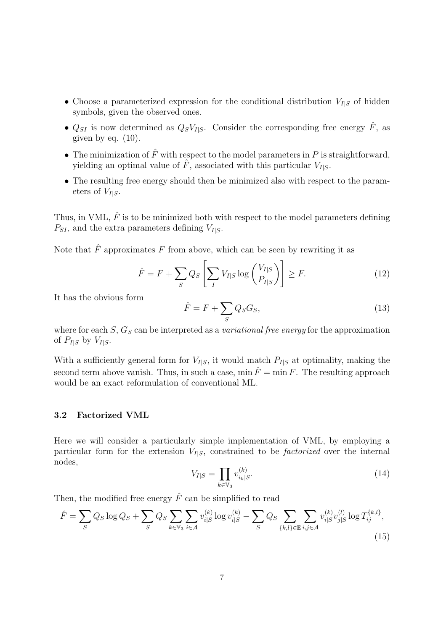- Choose a parameterized expression for the conditional distribution  $V_{I|S}$  of hidden symbols, given the observed ones.
- $Q_{SI}$  is now determined as  $Q_S V_{I|S}$ . Consider the corresponding free energy  $\hat{F}$ , as given by eq.  $(10)$ .
- The minimization of  $\hat{F}$  with respect to the model parameters in P is straightforward, yielding an optimal value of  $\hat{F}$ , associated with this particular  $V_{I|S}$ .
- The resulting free energy should then be minimized also with respect to the parameters of  $V_{I|S}$ .

Thus, in VML,  $\hat{F}$  is to be minimized both with respect to the model parameters defining  $P_{SI}$ , and the extra parameters defining  $V_{I|S}$ .

Note that  $\hat{F}$  approximates F from above, which can be seen by rewriting it as

$$
\hat{F} = F + \sum_{S} Q_S \left[ \sum_{I} V_{I|S} \log \left( \frac{V_{I|S}}{P_{I|S}} \right) \right] \ge F.
$$
\n(12)

It has the obvious form

$$
\hat{F} = F + \sum_{S} Q_S G_S, \tag{13}
$$

where for each  $S$ ,  $G_S$  can be interpreted as a *variational free energy* for the approximation of  $P_{I|S}$  by  $V_{I|S}$ .

With a sufficiently general form for  $V_{I|S}$ , it would match  $P_{I|S}$  at optimality, making the second term above vanish. Thus, in such a case,  $\min \hat{F} = \min F$ . The resulting approach would be an exact reformulation of conventional ML.

### 3.2 Factorized VML

Here we will consider a particularly simple implementation of VML, by employing a particular form for the extension  $V_{I|S}$ , constrained to be *factorized* over the internal nodes,  $\overline{v}$ 

$$
V_{I|S} = \prod_{k \in \mathbb{V}_3} v_{i_k|S}^{(k)}.
$$
 (14)

Then, the modified free energy  $\hat{F}$  can be simplified to read

$$
\hat{F} = \sum_{S} Q_S \log Q_S + \sum_{S} Q_S \sum_{k \in \mathbb{V}_3} \sum_{i \in \mathcal{A}} v_{i|S}^{(k)} \log v_{i|S}^{(k)} - \sum_{S} Q_S \sum_{\{k,l\} \in \mathbb{E}} \sum_{i,j \in \mathcal{A}} v_{i|S}^{(k)} v_{j|S}^{(l)} \log T_{ij}^{\{k,l\}},\tag{15}
$$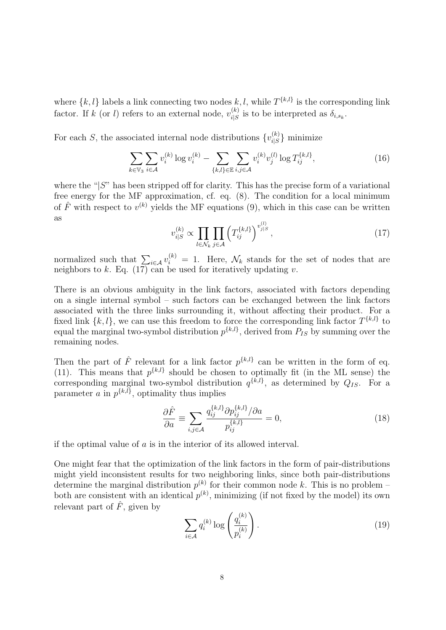where  $\{k, l\}$  labels a link connecting two nodes  $k, l$ , while  $T^{\{k, l\}}$  is the corresponding link factor. If k (or l) refers to an external node,  $v_{iS}^{(k)}$  $i_S^{(k)}$  is to be interpreted as  $\delta_{i,s_k}$ .

For each S, the associated internal node distributions  $\{v_{i,s}^{(k)}\}$  $\binom{k}{i|S}$  minimize

$$
\sum_{k \in \mathbb{V}_3} \sum_{i \in \mathcal{A}} v_i^{(k)} \log v_i^{(k)} - \sum_{\{k,l\} \in \mathbb{E}} \sum_{i,j \in \mathcal{A}} v_i^{(k)} v_j^{(l)} \log T_{ij}^{\{k,l\}},\tag{16}
$$

where the " $|S$ " has been stripped off for clarity. This has the precise form of a variational free energy for the MF approximation, cf. eq. (8). The condition for a local minimum of  $\hat{F}$  with respect to  $v^{(k)}$  yields the MF equations (9), which in this case can be written as

$$
v_{i|S}^{(k)} \propto \prod_{l \in \mathcal{N}_k} \prod_{j \in \mathcal{A}} \left( T_{ij}^{\{k,l\}} \right)^{v_{j|S}^{(l)}},\tag{17}
$$

normalized such that  $\sum_{i \in \mathcal{A}} v_i^{(k)} = 1$ . Here,  $\mathcal{N}_k$  stands for the set of nodes that are neighbors to  $k$ . Eq. (17) can be used for iteratively updating  $v$ .

There is an obvious ambiguity in the link factors, associated with factors depending on a single internal symbol – such factors can be exchanged between the link factors associated with the three links surrounding it, without affecting their product. For a fixed link  $\{k, l\}$ , we can use this freedom to force the corresponding link factor  $T^{\{k, l\}}$  to equal the marginal two-symbol distribution  $p^{\{k,l\}}$ , derived from  $P_{IS}$  by summing over the remaining nodes.

Then the part of  $\hat{F}$  relevant for a link factor  $p^{\{k,l\}}$  can be written in the form of eq. (11). This means that  $p^{\{k,l\}}$  should be chosen to optimally fit (in the ML sense) the corresponding marginal two-symbol distribution  $q^{\{k,l\}}$ , as determined by  $Q_{IS}$ . For a parameter a in  $p^{\{k,l\}}$ , optimality thus implies

$$
\frac{\partial \hat{F}}{\partial a} \equiv \sum_{i,j \in \mathcal{A}} \frac{q_{ij}^{\{k,l\}} \partial p_{ij}^{\{k,l\}} / \partial a}{p_{ij}^{\{k,l\}}} = 0,\tag{18}
$$

if the optimal value of  $\alpha$  is in the interior of its allowed interval.

One might fear that the optimization of the link factors in the form of pair-distributions might yield inconsistent results for two neighboring links, since both pair-distributions determine the marginal distribution  $p^{(k)}$  for their common node k. This is no problem – both are consistent with an identical  $p^{(k)}$ , minimizing (if not fixed by the model) its own relevant part of  $\hat{F}$ , given by !<br>!

$$
\sum_{i \in \mathcal{A}} q_i^{(k)} \log \left( \frac{q_i^{(k)}}{p_i^{(k)}} \right). \tag{19}
$$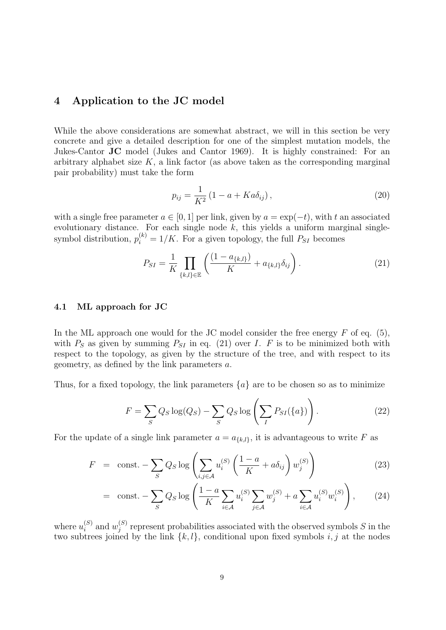## 4 Application to the JC model

While the above considerations are somewhat abstract, we will in this section be very concrete and give a detailed description for one of the simplest mutation models, the Jukes-Cantor JC model (Jukes and Cantor 1969). It is highly constrained: For an arbitrary alphabet size  $K$ , a link factor (as above taken as the corresponding marginal pair probability) must take the form

$$
p_{ij} = \frac{1}{K^2} (1 - a + Ka\delta_{ij}),
$$
\n(20)

with a single free parameter  $a \in [0, 1]$  per link, given by  $a = \exp(-t)$ , with t an associated evolutionary distance. For each single node  $k$ , this yields a uniform marginal singlesymbol distribution,  $p_i^{(k)} = 1/K$ . For a given topology, the full  $P_{SI}$  becomes

$$
P_{SI} = \frac{1}{K} \prod_{\{k,l\} \in \mathbb{E}} \left( \frac{(1 - a_{\{k,l\}})}{K} + a_{\{k,l\}} \delta_{ij} \right). \tag{21}
$$

### 4.1 ML approach for JC

In the ML approach one would for the JC model consider the free energy  $F$  of eq. (5), with  $P_S$  as given by summing  $P_{SI}$  in eq. (21) over I. F is to be minimized both with respect to the topology, as given by the structure of the tree, and with respect to its geometry, as defined by the link parameters a.

Thus, for a fixed topology, the link parameters  $\{a\}$  are to be chosen so as to minimize

$$
F = \sum_{S} Q_S \log(Q_S) - \sum_{S} Q_S \log\left(\sum_{I} P_{SI}(\{a\})\right). \tag{22}
$$

For the update of a single link parameter  $a = a_{\{k,l\}}$ , it is advantageous to write F as

$$
F = \text{const.} - \sum_{S} Q_S \log \left( \sum_{i,j \in \mathcal{A}} u_i^{(S)} \left( \frac{1 - a}{K} + a \delta_{ij} \right) w_j^{(S)} \right) \tag{23}
$$

$$
= \operatorname{const.} - \sum_{S} Q_S \log \left( \frac{1-a}{K} \sum_{i \in A} u_i^{(S)} \sum_{j \in A} w_j^{(S)} + a \sum_{i \in A} u_i^{(S)} w_i^{(S)} \right), \tag{24}
$$

where  $u_i^{(S)}$  $i^{(S)}$  and  $w_j^{(S)}$  $j^{(S)}_j$  represent probabilities associated with the observed symbols S in the two subtrees joined by the link  $\{k, l\}$ , conditional upon fixed symbols i, j at the nodes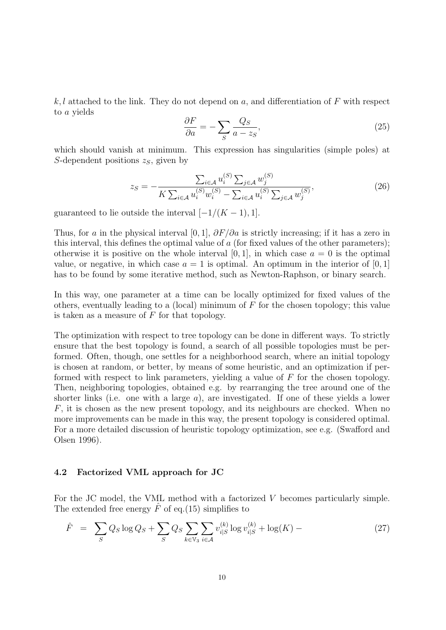k, l attached to the link. They do not depend on a, and differentiation of F with respect to a yields

$$
\frac{\partial F}{\partial a} = -\sum_{S} \frac{Q_S}{a - z_S},\tag{25}
$$

which should vanish at minimum. This expression has singularities (simple poles) at S-dependent positions  $z_s$ , given by

$$
z_{S} = -\frac{\sum_{i \in \mathcal{A}} u_{i}^{(S)} \sum_{j \in \mathcal{A}} w_{j}^{(S)}}{K \sum_{i \in \mathcal{A}} u_{i}^{(S)} w_{i}^{(S)} - \sum_{i \in \mathcal{A}} u_{i}^{(S)} \sum_{j \in \mathcal{A}} w_{j}^{(S)}},
$$
(26)

guaranteed to lie outside the interval  $[-1/(K-1), 1]$ .

Thus, for a in the physical interval [0, 1],  $\partial F/\partial a$  is strictly increasing; if it has a zero in this interval, this defines the optimal value of  $a$  (for fixed values of the other parameters); otherwise it is positive on the whole interval [0, 1], in which case  $a = 0$  is the optimal value, or negative, in which case  $a = 1$  is optimal. An optimum in the interior of  $[0, 1]$ has to be found by some iterative method, such as Newton-Raphson, or binary search.

In this way, one parameter at a time can be locally optimized for fixed values of the others, eventually leading to a (local) minimum of  $F$  for the chosen topology; this value is taken as a measure of  $F$  for that topology.

The optimization with respect to tree topology can be done in different ways. To strictly ensure that the best topology is found, a search of all possible topologies must be performed. Often, though, one settles for a neighborhood search, where an initial topology is chosen at random, or better, by means of some heuristic, and an optimization if performed with respect to link parameters, yielding a value of  $F$  for the chosen topology. Then, neighboring topologies, obtained e.g. by rearranging the tree around one of the shorter links (i.e. one with a large  $a$ ), are investigated. If one of these yields a lower  $F$ , it is chosen as the new present topology, and its neighbours are checked. When no more improvements can be made in this way, the present topology is considered optimal. For a more detailed discussion of heuristic topology optimization, see e.g. (Swafford and Olsen 1996).

#### 4.2 Factorized VML approach for JC

For the JC model, the VML method with a factorized V becomes particularly simple. The extended free energy  $\hat{F}$  of eq.(15) simplifies to

$$
\hat{F} = \sum_{S} Q_S \log Q_S + \sum_{S} Q_S \sum_{k \in \mathbb{V}_3} \sum_{i \in \mathcal{A}} v_{i|S}^{(k)} \log v_{i|S}^{(k)} + \log(K) - \tag{27}
$$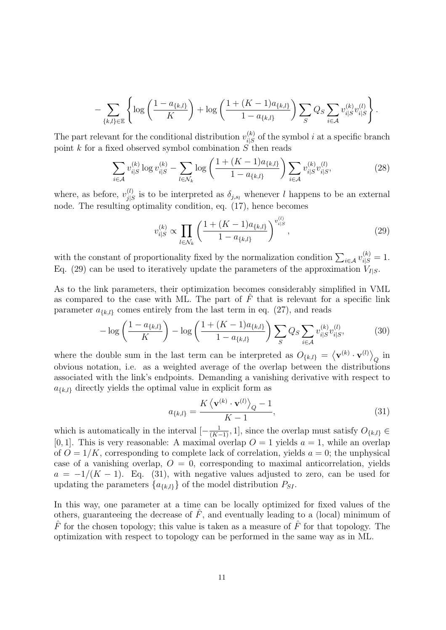$$
- \sum_{\{k,l\} \in \mathbb{E}} \left\{ \log \left( \frac{1 - a_{\{k,l\}}}{K} \right) + \log \left( \frac{1 + (K-1) a_{\{k,l\}}}{1 - a_{\{k,l\}}} \right) \sum_{S} Q_S \sum_{i \in \mathcal{A}} v_{i|S}^{(k)} v_{i|S}^{(l)} \right\}.
$$

The part relevant for the conditional distribution  $v_{iS}^{(k)}$  $i_S^{(k)}$  of the symbol i at a specific branch point k for a fixed observed symbol combination  $S$  then reads

$$
\sum_{i \in A} v_{i|S}^{(k)} \log v_{i|S}^{(k)} - \sum_{l \in \mathcal{N}_k} \log \left( \frac{1 + (K - 1)a_{\{k,l\}}}{1 - a_{\{k,l\}}} \right) \sum_{i \in A} v_{i|S}^{(k)} v_{i|S}^{(l)}, \tag{28}
$$

where, as before,  $v_{iS}^{(l)}$  $j_{j|S}^{(l)}$  is to be interpreted as  $\delta_{j,s_l}$  whenever l happens to be an external node. The resulting optimality condition, eq. (17), hence becomes

$$
v_{i|S}^{(k)} \propto \prod_{l \in \mathcal{N}_k} \left( \frac{1 + (K - 1)a_{\{k,l\}}}{1 - a_{\{k,l\}}} \right)^{v_{i|S}^{(l)}},\tag{29}
$$

with the constant of proportionality fixed by the normalization condition  $\sum_{i \in \mathcal{A}} v_{i|S}^{(k)} = 1$ . Eq. (29) can be used to iteratively update the parameters of the approximation  $V_{I|S}$ .

As to the link parameters, their optimization becomes considerably simplified in VML as compared to the case with ML. The part of  $\hat{F}$  that is relevant for a specific link parameter  $a_{k,l}$  comes entirely from the last term in eq. (27), and reads

$$
-\log\left(\frac{1-a_{\{k,l\}}}{K}\right) - \log\left(\frac{1+(K-1)a_{\{k,l\}}}{1-a_{\{k,l\}}}\right) \sum_{S} Q_S \sum_{i\in\mathcal{A}} v_{i|S}^{(k)} v_{i|S}^{(l)},\tag{30}
$$

where the double sum in the last term can be interpreted as  $O_{\{k,l\}} =$  ${\bf v}^{(k)}\cdot{\bf v}^{(l)}\rangle$  $Q$  in obvious notation, i.e. as a weighted average of the overlap between the distributions associated with the link's endpoints. Demanding a vanishing derivative with respect to  $a_{\{k,l\}}$  directly yields the optimal value in explicit form as

$$
a_{\{k,l\}} = \frac{K\left\langle \mathbf{v}^{(k)} \cdot \mathbf{v}^{(l)} \right\rangle_{Q} - 1}{K - 1},\tag{31}
$$

which is automatically in the interval  $[-\frac{1}{(K-1)}, 1]$ , since the overlap must satisfy  $O_{\{k,l\}}$ [0, 1]. This is very reasonable: A maximal overlap  $O = 1$  yields  $a = 1$ , while an overlap of  $O = 1/K$ , corresponding to complete lack of correlation, yields  $a = 0$ ; the unphysical case of a vanishing overlap,  $O = 0$ , corresponding to maximal anticorrelation, yields  $a = -1/(K - 1)$ . Eq. (31), with negative values adjusted to zero, can be used for updating the parameters  $\{a_{\{k,l\}}\}$  of the model distribution  $P_{SI}$ .

In this way, one parameter at a time can be locally optimized for fixed values of the others, guaranteeing the decrease of  $\tilde{F}$ , and eventually leading to a (local) minimum of  $\hat{F}$  for the chosen topology; this value is taken as a measure of  $\hat{F}$  for that topology. The optimization with respect to topology can be performed in the same way as in ML.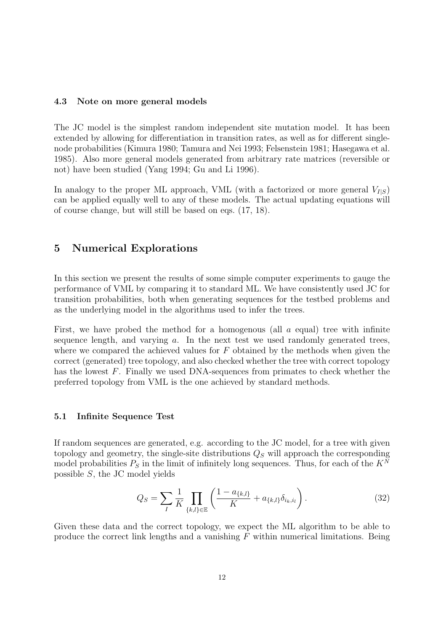#### 4.3 Note on more general models

The JC model is the simplest random independent site mutation model. It has been extended by allowing for differentiation in transition rates, as well as for different singlenode probabilities (Kimura 1980; Tamura and Nei 1993; Felsenstein 1981; Hasegawa et al. 1985). Also more general models generated from arbitrary rate matrices (reversible or not) have been studied (Yang 1994; Gu and Li 1996).

In analogy to the proper ML approach, VML (with a factorized or more general  $V_{I|S}$ ) can be applied equally well to any of these models. The actual updating equations will of course change, but will still be based on eqs. (17, 18).

## 5 Numerical Explorations

In this section we present the results of some simple computer experiments to gauge the performance of VML by comparing it to standard ML. We have consistently used JC for transition probabilities, both when generating sequences for the testbed problems and as the underlying model in the algorithms used to infer the trees.

First, we have probed the method for a homogenous (all  $a$  equal) tree with infinite sequence length, and varying a. In the next test we used randomly generated trees, where we compared the achieved values for  $F$  obtained by the methods when given the correct (generated) tree topology, and also checked whether the tree with correct topology has the lowest F. Finally we used DNA-sequences from primates to check whether the preferred topology from VML is the one achieved by standard methods.

#### 5.1 Infinite Sequence Test

If random sequences are generated, e.g. according to the JC model, for a tree with given topology and geometry, the single-site distributions  $Q_S$  will approach the corresponding model probabilities  $P<sub>S</sub>$  in the limit of infinitely long sequences. Thus, for each of the  $K<sup>N</sup>$ possible S, the JC model yields

$$
Q_S = \sum_{I} \frac{1}{K} \prod_{\{k,l\} \in \mathbb{E}} \left( \frac{1 - a_{\{k,l\}}}{K} + a_{\{k,l\}} \delta_{i_k, i_l} \right). \tag{32}
$$

Given these data and the correct topology, we expect the ML algorithm to be able to produce the correct link lengths and a vanishing  $F$  within numerical limitations. Being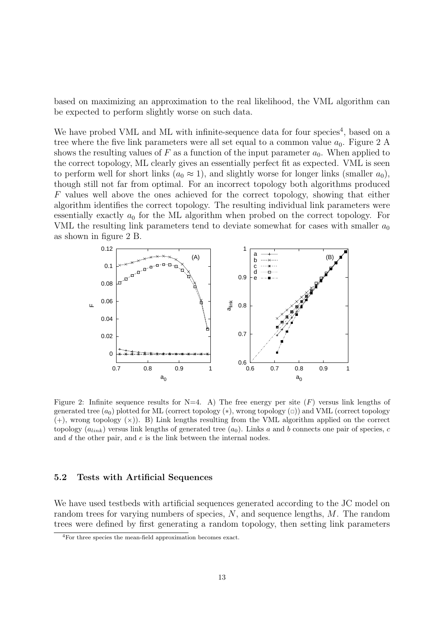based on maximizing an approximation to the real likelihood, the VML algorithm can be expected to perform slightly worse on such data.

We have probed VML and ML with infinite-sequence data for four species<sup>4</sup>, based on a tree where the five link parameters were all set equal to a common value  $a_0$ . Figure 2 A shows the resulting values of F as a function of the input parameter  $a_0$ . When applied to the correct topology, ML clearly gives an essentially perfect fit as expected. VML is seen to perform well for short links  $(a_0 \approx 1)$ , and slightly worse for longer links (smaller  $a_0$ ), though still not far from optimal. For an incorrect topology both algorithms produced F values well above the ones achieved for the correct topology, showing that either algorithm identifies the correct topology. The resulting individual link parameters were essentially exactly  $a_0$  for the ML algorithm when probed on the correct topology. For VML the resulting link parameters tend to deviate somewhat for cases with smaller  $a_0$ as shown in figure 2 B.



Figure 2: Infinite sequence results for  $N=4$ . A) The free energy per site  $(F)$  versus link lengths of generated tree  $(a_0)$  plotted for ML (correct topology  $(*)$ , wrong topology  $(\Box)$ ) and VML (correct topology  $(+)$ , wrong topology  $(x)$ ). B) Link lengths resulting from the VML algorithm applied on the correct topology  $(a_{link})$  versus link lengths of generated tree  $(a_0)$ . Links a and b connects one pair of species, c and  $d$  the other pair, and  $e$  is the link between the internal nodes.

#### 5.2 Tests with Artificial Sequences

We have used testbeds with artificial sequences generated according to the JC model on random trees for varying numbers of species, N, and sequence lengths, M. The random trees were defined by first generating a random topology, then setting link parameters

<sup>4</sup>For three species the mean-field approximation becomes exact.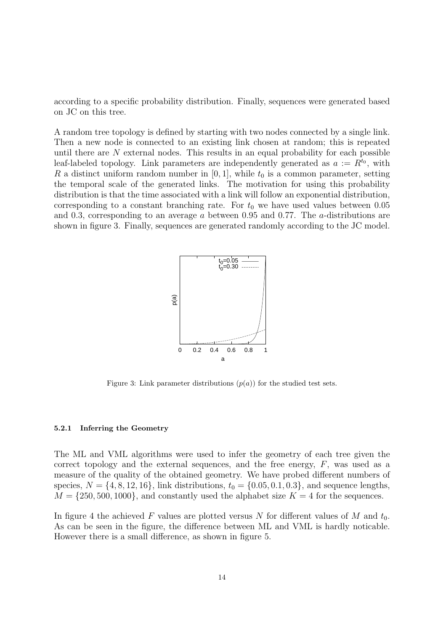according to a specific probability distribution. Finally, sequences were generated based on JC on this tree.

A random tree topology is defined by starting with two nodes connected by a single link. Then a new node is connected to an existing link chosen at random; this is repeated until there are N external nodes. This results in an equal probability for each possible leaf-labeled topology. Link parameters are independently generated as  $a := R^{t_0}$ , with R a distinct uniform random number in  $[0, 1]$ , while  $t_0$  is a common parameter, setting the temporal scale of the generated links. The motivation for using this probability distribution is that the time associated with a link will follow an exponential distribution, corresponding to a constant branching rate. For  $t_0$  we have used values between 0.05 and 0.3, corresponding to an average a between 0.95 and 0.77. The a-distributions are shown in figure 3. Finally, sequences are generated randomly according to the JC model.



Figure 3: Link parameter distributions  $(p(a))$  for the studied test sets.

#### 5.2.1 Inferring the Geometry

The ML and VML algorithms were used to infer the geometry of each tree given the correct topology and the external sequences, and the free energy,  $F$ , was used as a measure of the quality of the obtained geometry. We have probed different numbers of species,  $N = \{4, 8, 12, 16\}$ , link distributions,  $t_0 = \{0.05, 0.1, 0.3\}$ , and sequence lengths,  $M = \{250, 500, 1000\}$ , and constantly used the alphabet size  $K = 4$  for the sequences.

In figure 4 the achieved F values are plotted versus N for different values of M and  $t_0$ . As can be seen in the figure, the difference between ML and VML is hardly noticable. However there is a small difference, as shown in figure 5.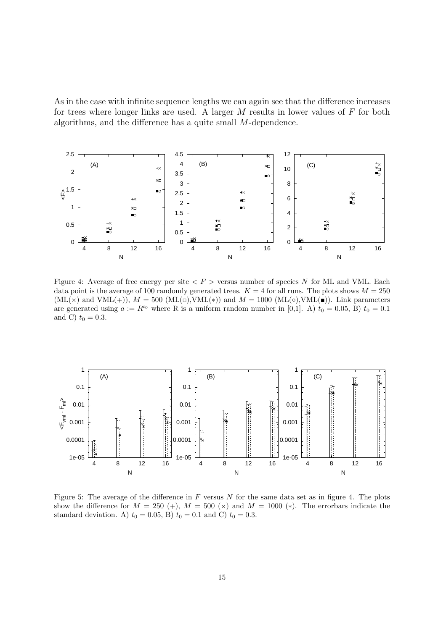As in the case with infinite sequence lengths we can again see that the difference increases for trees where longer links are used. A larger  $M$  results in lower values of  $F$  for both algorithms, and the difference has a quite small M-dependence.



Figure 4: Average of free energy per site  $\langle F \rangle$  versus number of species N for ML and VML. Each data point is the average of 100 randomly generated trees.  $K = 4$  for all runs. The plots shows  $M = 250$  $(ML(x)$  and  $VML(+)$ ,  $M = 500$   $(ML(\square), VML(*))$  and  $M = 1000$   $(ML(\square), VML(\square))$ . Link parameters are generated using  $a := R^{t_0}$  where R is a uniform random number in [0,1]. A)  $t_0 = 0.05$ , B)  $t_0 = 0.1$ and C)  $t_0 = 0.3$ .



Figure 5: The average of the difference in  $F$  versus  $N$  for the same data set as in figure 4. The plots show the difference for  $M = 250$  (+),  $M = 500$  ( $\times$ ) and  $M = 1000$  ( $\times$ ). The errorbars indicate the standard deviation. A)  $t_0 = 0.05$ , B)  $t_0 = 0.1$  and C)  $t_0 = 0.3$ .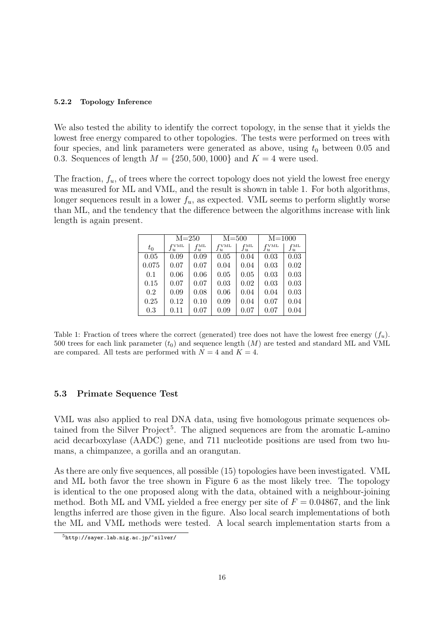#### 5.2.2 Topology Inference

We also tested the ability to identify the correct topology, in the sense that it yields the lowest free energy compared to other topologies. The tests were performed on trees with four species, and link parameters were generated as above, using  $t_0$  between 0.05 and 0.3. Sequences of length  $M = \{250, 500, 1000\}$  and  $K = 4$  were used.

The fraction,  $f_u$ , of trees where the correct topology does not yield the lowest free energy was measured for ML and VML, and the result is shown in table 1. For both algorithms, longer sequences result in a lower  $f_u$ , as expected. VML seems to perform slightly worse than ML, and the tendency that the difference between the algorithms increase with link length is again present.

|       | $M = 250$        |                                         | $M = 500$           |                 | $M = 1000$                |                          |
|-------|------------------|-----------------------------------------|---------------------|-----------------|---------------------------|--------------------------|
| $t_0$ | $f$ VML<br>$J_u$ | $_{\rm fML}$<br>$\overline{\mathbf{u}}$ | $f$ VML<br>$J_{ll}$ | fML<br>$J_{ll}$ | $_{\rm FVML}$<br>$J_{ll}$ | $_{\rm fML}$<br>$J_{ll}$ |
| 0.05  | 0.09             | 0.09                                    | 0.05                | 0.04            | 0.03                      | 0.03                     |
| 0.075 | 0.07             | 0.07                                    | 0.04                | 0.04            | 0.03                      | 0.02                     |
| 0.1   | 0.06             | 0.06                                    | 0.05                | 0.05            | 0.03                      | 0.03                     |
| 0.15  | 0.07             | 0.07                                    | 0.03                | 0.02            | 0.03                      | 0.03                     |
| 0.2   | 0.09             | 0.08                                    | 0.06                | 0.04            | 0.04                      | 0.03                     |
| 0.25  | 0.12             | 0.10                                    | 0.09                | 0.04            | 0.07                      | 0.04                     |
| 0.3   | 0.11             | 0.07                                    | 0.09                | 0.07            | 0.07                      | 0.04                     |

Table 1: Fraction of trees where the correct (generated) tree does not have the lowest free energy  $(f_n)$ . 500 trees for each link parameter  $(t_0)$  and sequence length  $(M)$  are tested and standard ML and VML are compared. All tests are performed with  $N = 4$  and  $K = 4$ .

#### 5.3 Primate Sequence Test

VML was also applied to real DNA data, using five homologous primate sequences obtained from the Silver Project<sup>5</sup>. The aligned sequences are from the aromatic L-amino acid decarboxylase (AADC) gene, and 711 nucleotide positions are used from two humans, a chimpanzee, a gorilla and an orangutan.

As there are only five sequences, all possible (15) topologies have been investigated. VML and ML both favor the tree shown in Figure 6 as the most likely tree. The topology is identical to the one proposed along with the data, obtained with a neighbour-joining method. Both ML and VML yielded a free energy per site of  $F = 0.04867$ , and the link lengths inferred are those given in the figure. Also local search implementations of both the ML and VML methods were tested. A local search implementation starts from a

<sup>5</sup>http://sayer.lab.nig.ac.jp/~silver/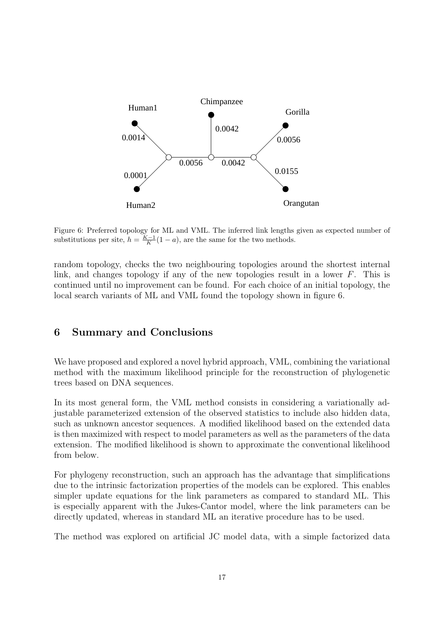

Figure 6: Preferred topology for ML and VML. The inferred link lengths given as expected number of substitutions per site,  $h = \frac{K-1}{K}(1-a)$ , are the same for the two methods.

random topology, checks the two neighbouring topologies around the shortest internal link, and changes topology if any of the new topologies result in a lower  $F$ . This is continued until no improvement can be found. For each choice of an initial topology, the local search variants of ML and VML found the topology shown in figure 6.

## 6 Summary and Conclusions

We have proposed and explored a novel hybrid approach, VML, combining the variational method with the maximum likelihood principle for the reconstruction of phylogenetic trees based on DNA sequences.

In its most general form, the VML method consists in considering a variationally adjustable parameterized extension of the observed statistics to include also hidden data, such as unknown ancestor sequences. A modified likelihood based on the extended data is then maximized with respect to model parameters as well as the parameters of the data extension. The modified likelihood is shown to approximate the conventional likelihood from below.

For phylogeny reconstruction, such an approach has the advantage that simplifications due to the intrinsic factorization properties of the models can be explored. This enables simpler update equations for the link parameters as compared to standard ML. This is especially apparent with the Jukes-Cantor model, where the link parameters can be directly updated, whereas in standard ML an iterative procedure has to be used.

The method was explored on artificial JC model data, with a simple factorized data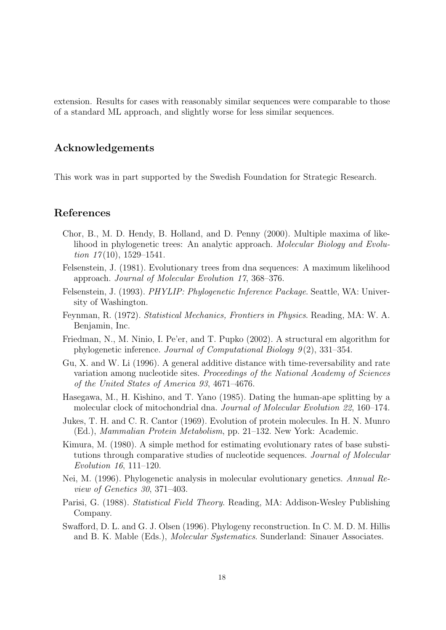extension. Results for cases with reasonably similar sequences were comparable to those of a standard ML approach, and slightly worse for less similar sequences.

## Acknowledgements

This work was in part supported by the Swedish Foundation for Strategic Research.

### References

- Chor, B., M. D. Hendy, B. Holland, and D. Penny (2000). Multiple maxima of likelihood in phylogenetic trees: An analytic approach. Molecular Biology and Evolution  $17(10)$ , 1529–1541.
- Felsenstein, J. (1981). Evolutionary trees from dna sequences: A maximum likelihood approach. Journal of Molecular Evolution 17, 368–376.
- Felsenstein, J. (1993). PHYLIP: Phylogenetic Inference Package. Seattle, WA: University of Washington.
- Feynman, R. (1972). Statistical Mechanics, Frontiers in Physics. Reading, MA: W. A. Benjamin, Inc.
- Friedman, N., M. Ninio, I. Pe'er, and T. Pupko (2002). A structural em algorithm for phylogenetic inference. Journal of Computational Biology 9 (2), 331–354.
- Gu, X. and W. Li (1996). A general additive distance with time-reversability and rate variation among nucleotide sites. Proceedings of the National Academy of Sciences of the United States of America 93, 4671–4676.
- Hasegawa, M., H. Kishino, and T. Yano (1985). Dating the human-ape splitting by a molecular clock of mitochondrial dna. Journal of Molecular Evolution 22, 160–174.
- Jukes, T. H. and C. R. Cantor (1969). Evolution of protein molecules. In H. N. Munro (Ed.), Mammalian Protein Metabolism, pp. 21–132. New York: Academic.
- Kimura, M. (1980). A simple method for estimating evolutionary rates of base substitutions through comparative studies of nucleotide sequences. Journal of Molecular Evolution 16, 111–120.
- Nei, M. (1996). Phylogenetic analysis in molecular evolutionary genetics. Annual Review of Genetics 30, 371–403.
- Parisi, G. (1988). Statistical Field Theory. Reading, MA: Addison-Wesley Publishing Company.
- Swafford, D. L. and G. J. Olsen (1996). Phylogeny reconstruction. In C. M. D. M. Hillis and B. K. Mable (Eds.), *Molecular Systematics*. Sunderland: Sinauer Associates.